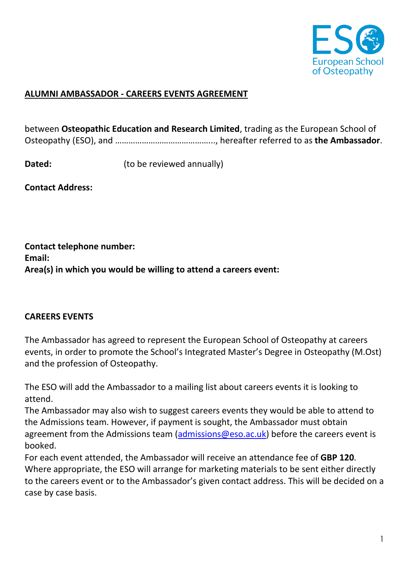

## **ALUMNI AMBASSADOR - CAREERS EVENTS AGREEMENT**

between **Osteopathic Education and Research Limited**, trading as the European School of Osteopathy (ESO), and ……………………………………..., hereafter referred to as **the Ambassador**.

**Dated:** (to be reviewed annually)

**Contact Address:** 

**Contact telephone number: Email: Area(s) in which you would be willing to attend a careers event:** 

## **CAREERS EVENTS**

The Ambassador has agreed to represent the European School of Osteopathy at careers events, in order to promote the School's Integrated Master's Degree in Osteopathy (M.Ost) and the profession of Osteopathy.

The ESO will add the Ambassador to a mailing list about careers events it is looking to attend.

The Ambassador may also wish to suggest careers events they would be able to attend to the Admissions team. However, if payment is sought, the Ambassador must obtain agreement from the Admissions team ( $\frac{1}{\text{admissions}}$  $\text{Qeso.ac.uk}$ ) before the careers event is booked.

For each event attended, the Ambassador will receive an attendance fee of **GBP 120**. Where appropriate, the ESO will arrange for marketing materials to be sent either directly to the careers event or to the Ambassador's given contact address. This will be decided on a case by case basis.